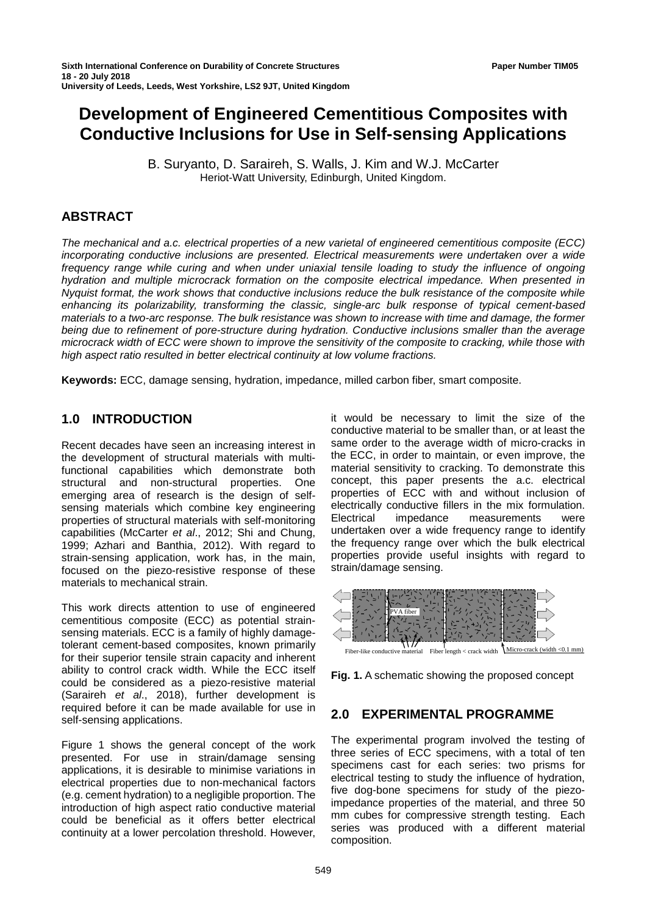# **Development of Engineered Cementitious Composites with Conductive Inclusions for Use in Self-sensing Applications**

B. Suryanto, D. Saraireh, S. Walls, J. Kim and W.J. McCarter Heriot-Watt University, Edinburgh, United Kingdom.

# **ABSTRACT**

*The mechanical and a.c. electrical properties of a new varietal of engineered cementitious composite (ECC) incorporating conductive inclusions are presented. Electrical measurements were undertaken over a wide frequency range while curing and when under uniaxial tensile loading to study the influence of ongoing hydration and multiple microcrack formation on the composite electrical impedance. When presented in Nyquist format, the work shows that conductive inclusions reduce the bulk resistance of the composite while enhancing its polarizability, transforming the classic, single-arc bulk response of typical cement-based materials to a two-arc response. The bulk resistance was shown to increase with time and damage, the former being due to refinement of pore-structure during hydration. Conductive inclusions smaller than the average microcrack width of ECC were shown to improve the sensitivity of the composite to cracking, while those with high aspect ratio resulted in better electrical continuity at low volume fractions.*

**Keywords:** ECC, damage sensing, hydration, impedance, milled carbon fiber, smart composite.

# **1.0 INTRODUCTION**

Recent decades have seen an increasing interest in the development of structural materials with multifunctional capabilities which demonstrate both structural and non-structural properties. One emerging area of research is the design of selfsensing materials which combine key engineering properties of structural materials with self-monitoring capabilities (McCarter *et al*., 2012; Shi and Chung, 1999; Azhari and Banthia, 2012). With regard to strain-sensing application, work has, in the main, focused on the piezo-resistive response of these materials to mechanical strain.

This work directs attention to use of engineered cementitious composite (ECC) as potential strainsensing materials. ECC is a family of highly damagetolerant cement-based composites, known primarily for their superior tensile strain capacity and inherent ability to control crack width. While the ECC itself could be considered as a piezo-resistive material (Saraireh *et al*., 2018), further development is required before it can be made available for use in self-sensing applications.

Figure 1 shows the general concept of the work presented. For use in strain/damage sensing applications, it is desirable to minimise variations in electrical properties due to non-mechanical factors (e.g. cement hydration) to a negligible proportion. The introduction of high aspect ratio conductive material could be beneficial as it offers better electrical continuity at a lower percolation threshold. However,

it would be necessary to limit the size of the conductive material to be smaller than, or at least the same order to the average width of micro-cracks in the ECC, in order to maintain, or even improve, the material sensitivity to cracking. To demonstrate this concept, this paper presents the a.c. electrical properties of ECC with and without inclusion of electrically conductive fillers in the mix formulation. Electrical impedance measurements were undertaken over a wide frequency range to identify the frequency range over which the bulk electrical properties provide useful insights with regard to strain/damage sensing.



Fiber-like conductive material Fiber length < crack width *Micro-crack* (width <0.1 mm)

**Fig. 1.** A schematic showing the proposed concept

# **2.0 EXPERIMENTAL PROGRAMME**

The experimental program involved the testing of three series of ECC specimens, with a total of ten specimens cast for each series: two prisms for electrical testing to study the influence of hydration, five dog-bone specimens for study of the piezoimpedance properties of the material, and three 50 mm cubes for compressive strength testing. Each series was produced with a different material composition.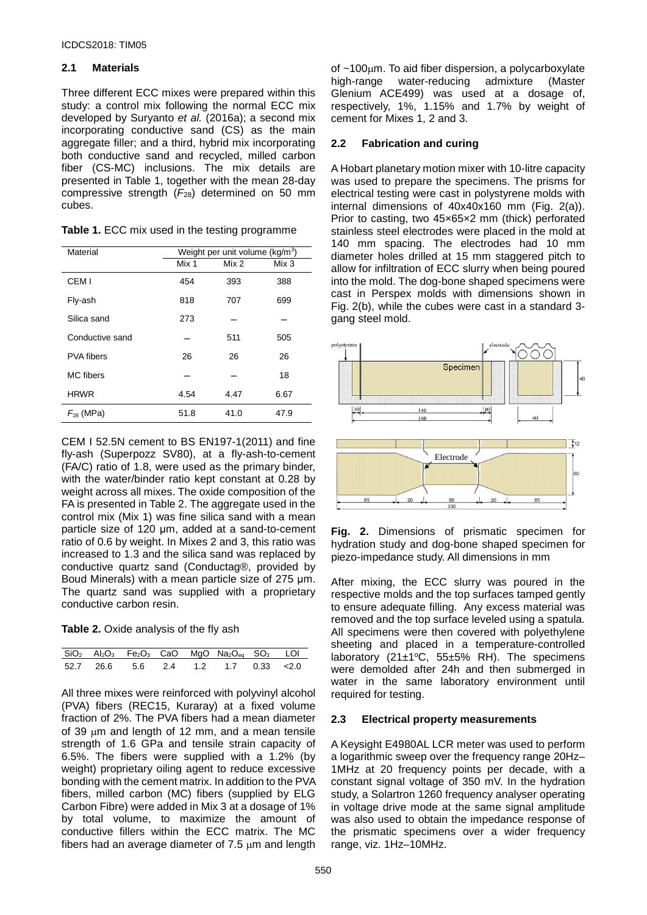#### **2.1 Materials**

Three different ECC mixes were prepared within this study: a control mix following the normal ECC mix developed by Suryanto *et al.* (2016a); a second mix incorporating conductive sand (CS) as the main aggregate filler; and a third, hybrid mix incorporating both conductive sand and recycled, milled carbon fiber (CS-MC) inclusions. The mix details are presented in Table 1, together with the mean 28-day compressive strength (*F*28) determined on 50 mm cubes.

| Table 1. ECC mix used in the testing programme |  |  |  |  |
|------------------------------------------------|--|--|--|--|
|------------------------------------------------|--|--|--|--|

| Material          | Weight per unit volume ( $kg/m3$ ) |       |       |  |
|-------------------|------------------------------------|-------|-------|--|
|                   | Mix 1                              | Mix 2 | Mix 3 |  |
| CEM <sub>I</sub>  | 454                                | 393   | 388   |  |
| Fly-ash           | 818                                | 707   | 699   |  |
| Silica sand       | 273                                |       |       |  |
| Conductive sand   |                                    | 511   | 505   |  |
| <b>PVA fibers</b> | 26                                 | 26    | 26    |  |
| MC fibers         |                                    |       | 18    |  |
| <b>HRWR</b>       | 4.54                               | 4.47  | 6.67  |  |
| $F_{28}$ (MPa)    | 51.8                               | 41.0  | 47.9  |  |

CEM I 52.5N cement to BS EN197-1(2011) and fine fly-ash (Superpozz SV80), at a fly-ash-to-cement (FA/C) ratio of 1.8, were used as the primary binder, with the water/binder ratio kept constant at 0.28 by weight across all mixes. The oxide composition of the FA is presented in Table 2. The aggregate used in the control mix (Mix 1) was fine silica sand with a mean particle size of 120 μm, added at a sand-to-cement ratio of 0.6 by weight. In Mixes 2 and 3, this ratio was increased to 1.3 and the silica sand was replaced by conductive quartz sand (Conductag®, provided by Boud Minerals) with a mean particle size of 275 μm. The quartz sand was supplied with a proprietary conductive carbon resin.

|  |  | Table 2. Oxide analysis of the fly ash |
|--|--|----------------------------------------|
|--|--|----------------------------------------|

|  |  | $\overline{SiO_2}$ Al <sub>2</sub> O <sub>3</sub> Fe <sub>2</sub> O <sub>3</sub> CaO MgO Na <sub>2</sub> O <sub>eq</sub> SO <sub>3</sub> LOI |  |
|--|--|----------------------------------------------------------------------------------------------------------------------------------------------|--|
|  |  | 52.7 26.6 5.6 2.4 1.2 1.7 0.33 < 2.0                                                                                                         |  |

All three mixes were reinforced with polyvinyl alcohol (PVA) fibers (REC15, Kuraray) at a fixed volume fraction of 2%. The PVA fibers had a mean diameter of 39  $\mu$ m and length of 12 mm, and a mean tensile strength of 1.6 GPa and tensile strain capacity of 6.5%. The fibers were supplied with a 1.2% (by weight) proprietary oiling agent to reduce excessive bonding with the cement matrix. In addition to the PVA fibers, milled carbon (MC) fibers (supplied by ELG Carbon Fibre) were added in Mix 3 at a dosage of 1% by total volume, to maximize the amount of conductive fillers within the ECC matrix. The MC fibers had an average diameter of 7.5 µm and length

of  $~100$ μm. To aid fiber dispersion, a polycarboxylate<br>high-range water-reducing admixture (Master high-range water-reducing admixture Glenium ACE499) was used at a dosage of, respectively, 1%, 1.15% and 1.7% by weight of cement for Mixes 1, 2 and 3.

## **2.2 Fabrication and curing**

A Hobart planetary motion mixer with 10-litre capacity was used to prepare the specimens. The prisms for electrical testing were cast in polystyrene molds with internal dimensions of 40x40x160 mm (Fig. 2(a)). Prior to casting, two 45×65×2 mm (thick) perforated stainless steel electrodes were placed in the mold at 140 mm spacing. The electrodes had 10 mm diameter holes drilled at 15 mm staggered pitch to allow for infiltration of ECC slurry when being poured into the mold. The dog-bone shaped specimens were cast in Perspex molds with dimensions shown in Fig. 2(b), while the cubes were cast in a standard 3 gang steel mold.



**Fig. 2.** Dimensions of prismatic specimen for hydration study and dog-bone shaped specimen for piezo-impedance study. All dimensions in mm

After mixing, the ECC slurry was poured in the respective molds and the top surfaces tamped gently to ensure adequate filling. Any excess material was removed and the top surface leveled using a spatula. All specimens were then covered with polyethylene sheeting and placed in a temperature-controlled laboratory (21 $\pm$ 1°C, 55 $\pm$ 5% RH). The specimens were demolded after 24h and then submerged in water in the same laboratory environment until required for testing.

## **2.3 Electrical property measurements**

A Keysight E4980AL LCR meter was used to perform a logarithmic sweep over the frequency range 20Hz– 1MHz at 20 frequency points per decade, with a constant signal voltage of 350 mV. In the hydration study, a Solartron 1260 frequency analyser operating in voltage drive mode at the same signal amplitude was also used to obtain the impedance response of the prismatic specimens over a wider frequency range, viz. 1Hz–10MHz.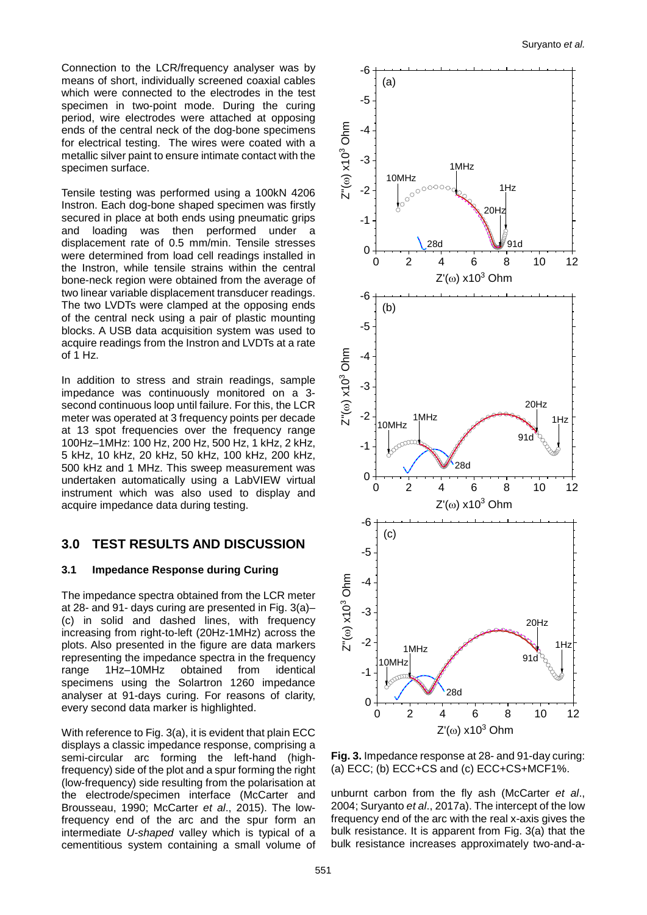Connection to the LCR/frequency analyser was by means of short, individually screened coaxial cables which were connected to the electrodes in the test specimen in two-point mode. During the curing period, wire electrodes were attached at opposing ends of the central neck of the dog-bone specimens for electrical testing. The wires were coated with a metallic silver paint to ensure intimate contact with the specimen surface.

Tensile testing was performed using a 100kN 4206 Instron. Each dog-bone shaped specimen was firstly secured in place at both ends using pneumatic grips and loading was then performed under a displacement rate of 0.5 mm/min. Tensile stresses were determined from load cell readings installed in the Instron, while tensile strains within the central bone-neck region were obtained from the average of two linear variable displacement transducer readings. The two LVDTs were clamped at the opposing ends of the central neck using a pair of plastic mounting blocks. A USB data acquisition system was used to acquire readings from the Instron and LVDTs at a rate of 1 Hz.

In addition to stress and strain readings, sample impedance was continuously monitored on a 3 second continuous loop until failure. For this, the LCR meter was operated at 3 frequency points per decade at 13 spot frequencies over the frequency range 100Hz–1MHz: 100 Hz, 200 Hz, 500 Hz, 1 kHz, 2 kHz, 5 kHz, 10 kHz, 20 kHz, 50 kHz, 100 kHz, 200 kHz, 500 kHz and 1 MHz. This sweep measurement was undertaken automatically using a LabVIEW virtual instrument which was also used to display and acquire impedance data during testing.

# **3.0 TEST RESULTS AND DISCUSSION**

## **3.1 Impedance Response during Curing**

The impedance spectra obtained from the LCR meter at 28- and 91- days curing are presented in Fig. 3(a)– (c) in solid and dashed lines, with frequency increasing from right-to-left (20Hz-1MHz) across the plots. Also presented in the figure are data markers representing the impedance spectra in the frequency range 1Hz–10MHz obtained from identical specimens using the Solartron 1260 impedance analyser at 91-days curing. For reasons of clarity, every second data marker is highlighted.

With reference to Fig. 3(a), it is evident that plain ECC displays a classic impedance response, comprising a semi-circular arc forming the left-hand (highfrequency) side of the plot and a spur forming the right (low-frequency) side resulting from the polarisation at the electrode/specimen interface (McCarter and Brousseau, 1990; McCarter *et al*., 2015). The lowfrequency end of the arc and the spur form an intermediate *U-shaped* valley which is typical of a cementitious system containing a small volume of



**Fig. 3.** Impedance response at 28- and 91-day curing: (a) ECC; (b) ECC+CS and (c) ECC+CS+MCF1%.

unburnt carbon from the fly ash (McCarter *et al*., 2004; Suryanto *et al*., 2017a). The intercept of the low frequency end of the arc with the real x-axis gives the bulk resistance. It is apparent from Fig. 3(a) that the bulk resistance increases approximately two-and-a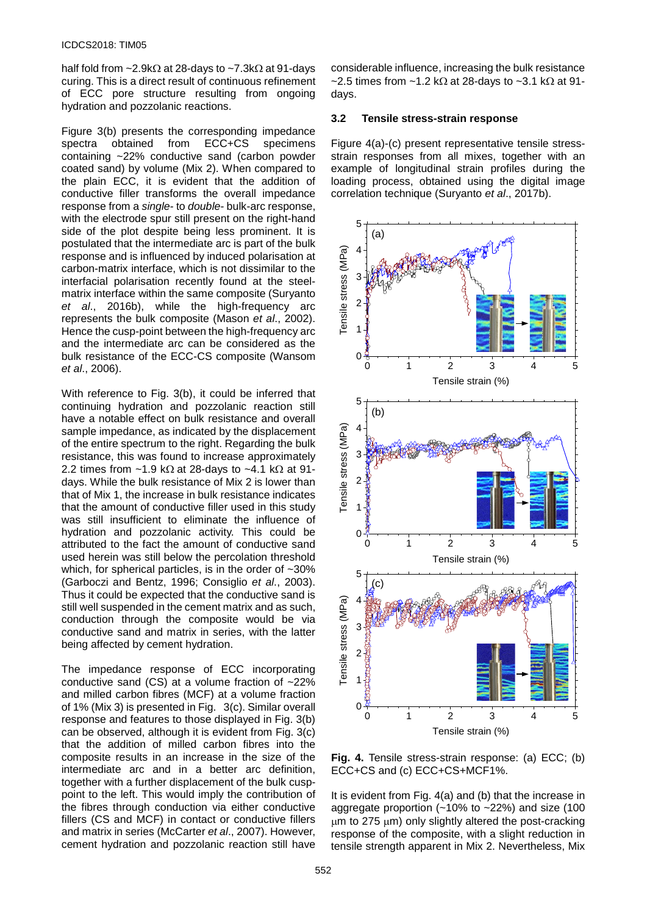half fold from ~2.9kΩ at 28-days to ~7.3kΩ at 91-days curing. This is a direct result of continuous refinement of ECC pore structure resulting from ongoing hydration and pozzolanic reactions.

Figure 3(b) presents the corresponding impedance<br>spectra obtained from ECC+CS specimens obtained from ECC+CS containing ~22% conductive sand (carbon powder coated sand) by volume (Mix 2). When compared to the plain ECC, it is evident that the addition of conductive filler transforms the overall impedance response from a *single-* to *double-* bulk-arc response, with the electrode spur still present on the right-hand side of the plot despite being less prominent. It is postulated that the intermediate arc is part of the bulk response and is influenced by induced polarisation at carbon-matrix interface, which is not dissimilar to the interfacial polarisation recently found at the steelmatrix interface within the same composite (Suryanto *et al*., 2016b), while the high-frequency arc represents the bulk composite (Mason *et al*., 2002). Hence the cusp-point between the high-frequency arc and the intermediate arc can be considered as the bulk resistance of the ECC-CS composite (Wansom *et al*., 2006).

With reference to Fig. 3(b), it could be inferred that continuing hydration and pozzolanic reaction still have a notable effect on bulk resistance and overall sample impedance, as indicated by the displacement of the entire spectrum to the right. Regarding the bulk resistance, this was found to increase approximately 2.2 times from ~1.9 k $\Omega$  at 28-days to ~4.1 k $\Omega$  at 91days. While the bulk resistance of Mix 2 is lower than that of Mix 1, the increase in bulk resistance indicates that the amount of conductive filler used in this study was still insufficient to eliminate the influence of hydration and pozzolanic activity. This could be attributed to the fact the amount of conductive sand used herein was still below the percolation threshold which, for spherical particles, is in the order of  $~130\%$ (Garboczi and Bentz, 1996; Consiglio *et al*., 2003). Thus it could be expected that the conductive sand is still well suspended in the cement matrix and as such, conduction through the composite would be via conductive sand and matrix in series, with the latter being affected by cement hydration.

The impedance response of ECC incorporating conductive sand (CS) at a volume fraction of ~22% and milled carbon fibres (MCF) at a volume fraction of 1% (Mix 3) is presented in Fig. 3(c). Similar overall response and features to those displayed in Fig. 3(b) can be observed, although it is evident from Fig. 3(c) that the addition of milled carbon fibres into the composite results in an increase in the size of the intermediate arc and in a better arc definition, together with a further displacement of the bulk cusppoint to the left. This would imply the contribution of the fibres through conduction via either conductive fillers (CS and MCF) in contact or conductive fillers and matrix in series (McCarter *et al*., 2007). However, cement hydration and pozzolanic reaction still have considerable influence, increasing the bulk resistance ~2.5 times from ~1.2 kΩ at 28-days to ~3.1 kΩ at 91days.

#### **3.2 Tensile stress-strain response**

Figure 4(a)-(c) present representative tensile stressstrain responses from all mixes, together with an example of longitudinal strain profiles during the loading process, obtained using the digital image correlation technique (Suryanto *et al*., 2017b).



**Fig. 4.** Tensile stress-strain response: (a) ECC; (b) ECC+CS and (c) ECC+CS+MCF1%.

It is evident from Fig. 4(a) and (b) that the increase in aggregate proportion  $(-10\% \text{ to } -22\%)$  and size (100  $µm$  to 275  $µm$ ) only slightly altered the post-cracking response of the composite, with a slight reduction in tensile strength apparent in Mix 2. Nevertheless, Mix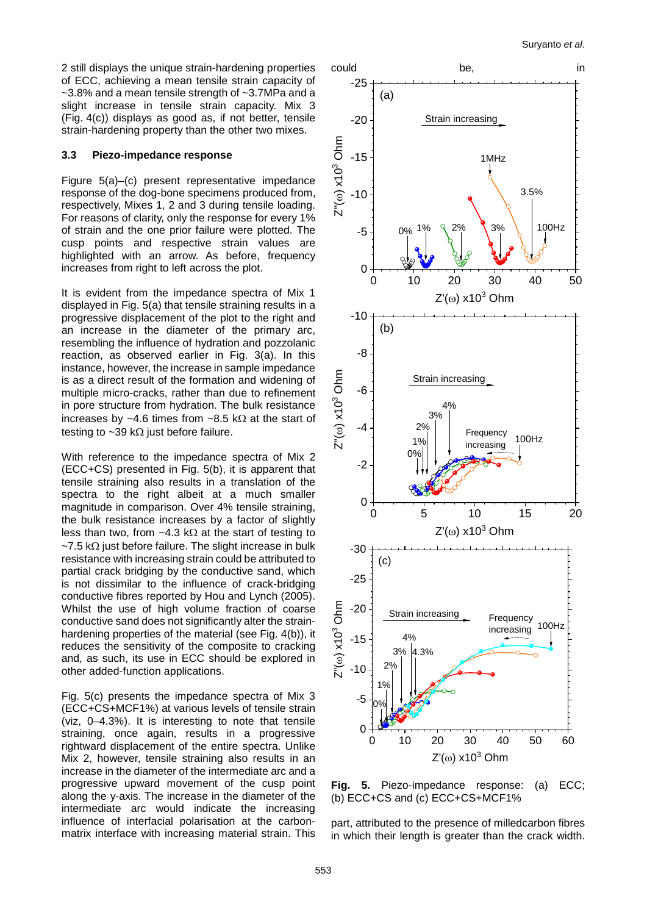2 still displays the unique strain-hardening properties of ECC, achieving a mean tensile strain capacity of ~3.8% and a mean tensile strength of ~3.7MPa and a slight increase in tensile strain capacity. Mix 3 (Fig. 4(c)) displays as good as, if not better, tensile strain-hardening property than the other two mixes.

#### **3.3 Piezo-impedance response**

Figure 5(a)–(c) present representative impedance response of the dog-bone specimens produced from, respectively, Mixes 1, 2 and 3 during tensile loading. For reasons of clarity, only the response for every 1% of strain and the one prior failure were plotted. The cusp points and respective strain values are highlighted with an arrow. As before, frequency increases from right to left across the plot.

It is evident from the impedance spectra of Mix 1 displayed in Fig. 5(a) that tensile straining results in a progressive displacement of the plot to the right and an increase in the diameter of the primary arc, resembling the influence of hydration and pozzolanic reaction, as observed earlier in Fig. 3(a). In this instance, however, the increase in sample impedance is as a direct result of the formation and widening of multiple micro-cracks, rather than due to refinement in pore structure from hydration. The bulk resistance increases by ~4.6 times from ~8.5 k $\Omega$  at the start of testing to  $~\sim$ 39 kΩ just before failure.

With reference to the impedance spectra of Mix 2 (ECC+CS) presented in Fig. 5(b), it is apparent that tensile straining also results in a translation of the spectra to the right albeit at a much smaller magnitude in comparison. Over 4% tensile straining, the bulk resistance increases by a factor of slightly less than two, from ~4.3 kΩ at the start of testing to  $~\sim$ 7.5 k $\Omega$  just before failure. The slight increase in bulk resistance with increasing strain could be attributed to partial crack bridging by the conductive sand, which is not dissimilar to the influence of crack-bridging conductive fibres reported by Hou and Lynch (2005). Whilst the use of high volume fraction of coarse conductive sand does not significantly alter the strainhardening properties of the material (see Fig. 4(b)), it reduces the sensitivity of the composite to cracking and, as such, its use in ECC should be explored in other added-function applications.

Fig. 5(c) presents the impedance spectra of Mix 3 (ECC+CS+MCF1%) at various levels of tensile strain (viz, 0–4.3%). It is interesting to note that tensile straining, once again, results in a progressive rightward displacement of the entire spectra. Unlike Mix 2, however, tensile straining also results in an increase in the diameter of the intermediate arc and a progressive upward movement of the cusp point along the y-axis. The increase in the diameter of the intermediate arc would indicate the increasing influence of interfacial polarisation at the carbonmatrix interface with increasing material strain. This



**Fig. 5.** Piezo-impedance response: (a) ECC; (b) ECC+CS and (c) ECC+CS+MCF1%

part, attributed to the presence of milledcarbon fibres in which their length is greater than the crack width.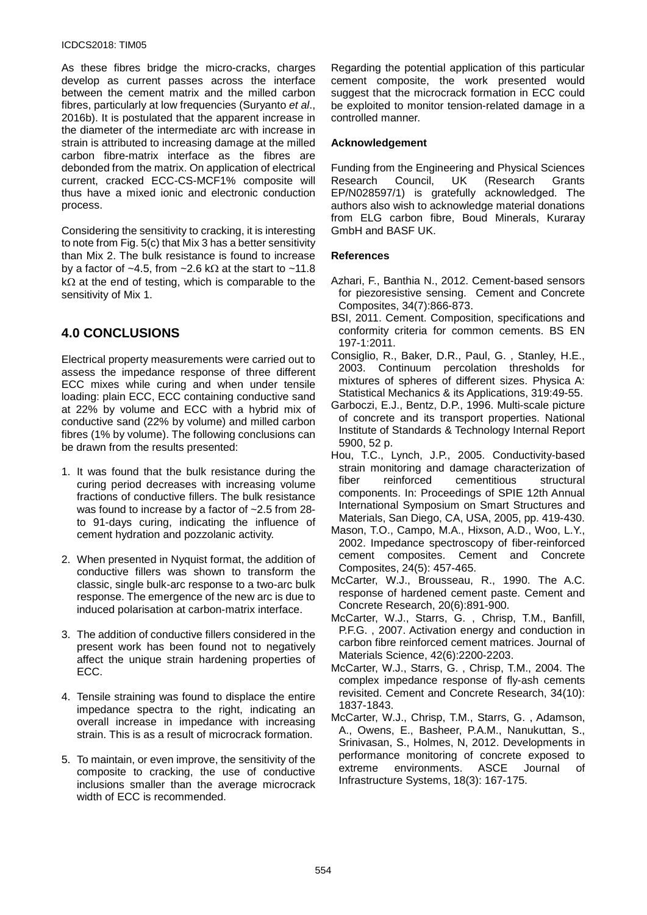#### ICDCS2018: TIM05

As these fibres bridge the micro-cracks, charges develop as current passes across the interface between the cement matrix and the milled carbon fibres, particularly at low frequencies (Suryanto *et al*., 2016b). It is postulated that the apparent increase in the diameter of the intermediate arc with increase in strain is attributed to increasing damage at the milled carbon fibre-matrix interface as the fibres are debonded from the matrix. On application of electrical current, cracked ECC-CS-MCF1% composite will thus have a mixed ionic and electronic conduction process.

Considering the sensitivity to cracking, it is interesting to note from Fig. 5(c) that Mix 3 has a better sensitivity than Mix 2. The bulk resistance is found to increase by a factor of ~4.5, from ~2.6 k $\Omega$  at the start to ~11.8  $k\Omega$  at the end of testing, which is comparable to the sensitivity of Mix 1.

# **4.0 CONCLUSIONS**

Electrical property measurements were carried out to assess the impedance response of three different ECC mixes while curing and when under tensile loading: plain ECC, ECC containing conductive sand at 22% by volume and ECC with a hybrid mix of conductive sand (22% by volume) and milled carbon fibres (1% by volume). The following conclusions can be drawn from the results presented:

- 1. It was found that the bulk resistance during the curing period decreases with increasing volume fractions of conductive fillers. The bulk resistance was found to increase by a factor of ~2.5 from 28 to 91-days curing, indicating the influence of cement hydration and pozzolanic activity.
- 2. When presented in Nyquist format, the addition of conductive fillers was shown to transform the classic, single bulk-arc response to a two-arc bulk response. The emergence of the new arc is due to induced polarisation at carbon-matrix interface.
- 3. The addition of conductive fillers considered in the present work has been found not to negatively affect the unique strain hardening properties of ECC.
- 4. Tensile straining was found to displace the entire impedance spectra to the right, indicating an overall increase in impedance with increasing strain. This is as a result of microcrack formation.
- 5. To maintain, or even improve, the sensitivity of the composite to cracking, the use of conductive inclusions smaller than the average microcrack width of ECC is recommended.

Regarding the potential application of this particular cement composite, the work presented would suggest that the microcrack formation in ECC could be exploited to monitor tension-related damage in a controlled manner.

#### **Acknowledgement**

Funding from the Engineering and Physical Sciences<br>Research Council, UK (Research Grants Research Council, UK (Research Grants EP/N028597/1) is gratefully acknowledged. The authors also wish to acknowledge material donations from ELG carbon fibre, Boud Minerals, Kuraray GmbH and BASF UK.

#### **References**

- Azhari, F., Banthia N., 2012. Cement-based sensors for piezoresistive sensing. Cement and Concrete Composites, 34(7):866-873.
- BSI, 2011. Cement. Composition, specifications and conformity criteria for common cements. BS EN 197-1:2011.
- Consiglio, R., Baker, D.R., Paul, G. , Stanley, H.E., 2003. Continuum percolation thresholds for mixtures of spheres of different sizes. Physica A: Statistical Mechanics & its Applications, 319:49-55.
- Garboczi, E.J., Bentz, D.P., 1996. Multi-scale picture of concrete and its transport properties. National Institute of Standards & Technology Internal Report 5900, 52 p.
- Hou, T.C., Lynch, J.P., 2005. Conductivity-based strain monitoring and damage characterization of fiber reinforced cementitious structural components. In: Proceedings of SPIE 12th Annual International Symposium on Smart Structures and Materials, San Diego, CA, USA, 2005, pp. 419-430.
- Mason, T.O., Campo, M.A., Hixson, A.D., Woo, L.Y., 2002. Impedance spectroscopy of fiber-reinforced cement composites. Cement and Concrete Composites, 24(5): 457-465.
- McCarter, W.J., Brousseau, R., 1990. The A.C. response of hardened cement paste. Cement and Concrete Research, 20(6):891-900.
- McCarter, W.J., Starrs, G. , Chrisp, T.M., Banfill, P.F.G. , 2007. Activation energy and conduction in carbon fibre reinforced cement matrices. Journal of Materials Science, 42(6):2200-2203.
- McCarter, W.J., Starrs, G. , Chrisp, T.M., 2004. The complex impedance response of fly-ash cements revisited. Cement and Concrete Research, 34(10): 1837-1843.
- McCarter, W.J., Chrisp, T.M., Starrs, G. , Adamson, A., Owens, E., Basheer, P.A.M., Nanukuttan, S., Srinivasan, S., Holmes, N, 2012. Developments in performance monitoring of concrete exposed to extreme environments. ASCE Journal of Infrastructure Systems, 18(3): 167-175.